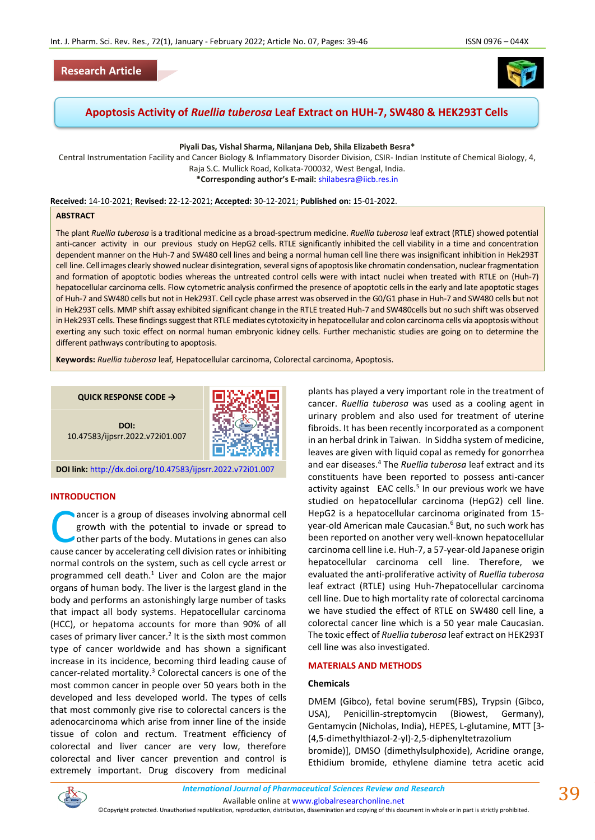## **Research Article**



**Apoptosis Activity of** *Ruellia tuberosa* **Leaf Extract on HUH-7, SW480 & HEK293T Cells**

**Piyali Das, Vishal Sharma, Nilanjana Deb, Shila Elizabeth Besra\***

Central Instrumentation Facility and Cancer Biology & Inflammatory Disorder Division, CSIR- Indian Institute of Chemical Biology, 4, Raja S.C. Mullick Road, Kolkata-700032, West Bengal, India. **\*Corresponding author's E-mail:** [shilabesra@iicb.res.in](mailto:shilabesra@iicb.res.in)

**Received:** 14-10-2021; **Revised:** 22-12-2021; **Accepted:** 30-12-2021; **Published on:** 15-01-2022.

#### **ABSTRACT**

The plant *Ruellia tuberosa* is a traditional medicine as a broad-spectrum medicine. *Ruellia tuberosa* leaf extract (RTLE) showed potential anti-cancer activity in our previous study on HepG2 cells. RTLE significantly inhibited the cell viability in a time and concentration dependent manner on the Huh-7 and SW480 cell lines and being a normal human cell line there was insignificant inhibition in Hek293T cell line. Cell images clearly showed nuclear disintegration, several signs of apoptosis like chromatin condensation, nuclear fragmentation and formation of apoptotic bodies whereas the untreated control cells were with intact nuclei when treated with RTLE on (Huh-7) hepatocellular carcinoma cells. Flow cytometric analysis confirmed the presence of apoptotic cells in the early and late apoptotic stages of Huh-7 and SW480 cells but not in Hek293T. Cell cycle phase arrest was observed in the G0/G1 phase in Huh-7 and SW480 cells but not in Hek293T cells. MMP shift assay exhibited significant change in the RTLE treated Huh-7 and SW480cells but no such shift was observed in Hek293T cells. These findings suggest that RTLE mediates cytotoxicity in hepatocellular and colon carcinoma cells via apoptosis without exerting any such toxic effect on normal human embryonic kidney cells. Further mechanistic studies are going on to determine the different pathways contributing to apoptosis.

**Keywords:** *Ruellia tuberosa* leaf*,* Hepatocellular carcinoma, Colorectal carcinoma, Apoptosis.

**QUICK RESPONSE CODE →**

**DOI:**



10.47583/ijpsrr.2022.v72i01.007

**DOI link:** <http://dx.doi.org/10.47583/ijpsrr.2022.v72i01.007>

### **INTRODUCTION**

ancer is a group of diseases involving abnormal cell [growth](https://en.wikipedia.org/wiki/Cell_growth) with the potential to invade or spread to other parts of the body. Mutations in genes can also ancer is a group of diseases involving abnormal cell growth with the potential to invade or spread to other parts of the body. Mutations in genes can also cause cancer by accelerating cell division rates or inhibiting normal controls on the system, such as cell cycle arrest or programmed cell death. $1$  Liver and Colon are the major organs of human body. The liver is the largest gland in the body and performs an astonishingly large number of tasks that impact all body systems. Hepatocellular carcinoma (HCC), or hepatoma accounts for more than 90% of all cases of primary liver cancer.<sup>2</sup> It is the sixth most common type of cancer worldwide and has shown a significant increase in its incidence, becoming third leading cause of cancer-related mortality.<sup>3</sup> Colorectal cancers is one of the most common cancer in people over 50 years both in the developed and less developed world. The types of cells that most commonly give rise to colorectal cancers is the adenocarcinoma which arise from inner line of the inside tissue of colon and rectum. Treatment efficiency of colorectal and liver cancer are very low, therefore colorectal and liver cancer prevention and control is extremely important. Drug discovery from medicinal

plants has played a very important role in the treatment of cancer. *Ruellia tuberosa* was used as a cooling agent in urinary problem and also used for treatment of uterine fibroids. It has been recently incorporated as a component in an herbal drink in Taiwan. In Siddha system of medicine, leaves are given with liquid copal as remedy for gonorrhea and ear diseases.<sup>4</sup> The *Ruellia tuberosa* leaf extract and its constituents have been reported to possess anti-cancer activity against EAC cells.<sup>5</sup> In our previous work we have studied on hepatocellular carcinoma (HepG2) cell line. HepG2 is a hepatocellular carcinoma originated from 15 year-old American male Caucasian.<sup>6</sup> But, no such work has been reported on another very well-known hepatocellular carcinoma cell line i.e. Huh-7, a 57-year-old Japanese origin hepatocellular carcinoma cell line. Therefore, we evaluated the anti-proliferative activity of *Ruellia tuberosa*  leaf extract (RTLE) using Huh-7hepatocellular carcinoma cell line. Due to high mortality rate of colorectal carcinoma we have studied the effect of RTLE on SW480 cell line, a colorectal cancer line which is a 50 year male Caucasian. The toxic effect of *Ruellia tuberosa* leaf extract on HEK293T cell line was also investigated.

#### **MATERIALS AND METHODS**

### **Chemicals**

DMEM (Gibco), fetal bovine serum(FBS), Trypsin (Gibco, USA), Penicillin-streptomycin (Biowest, Germany), Gentamycin (Nicholas, India), HEPES, L-glutamine, MTT [3- (4,5[-di](https://en.wikipedia.org/wiki/Di-)[methyl](https://en.wikipedia.org/wiki/Methyl)[thiazol-](https://en.wikipedia.org/wiki/Thiazole)2-yl)-2,5-[diphenylt](https://en.wikipedia.org/wiki/Phenyl)etrazolium bromide)], DMSO (dimethylsulphoxide), Acridine orange, Ethidium bromide, ethylene diamine tetra acetic acid



Available online a[t www.globalresearchonline.net](http://www.globalresearchonline.net/)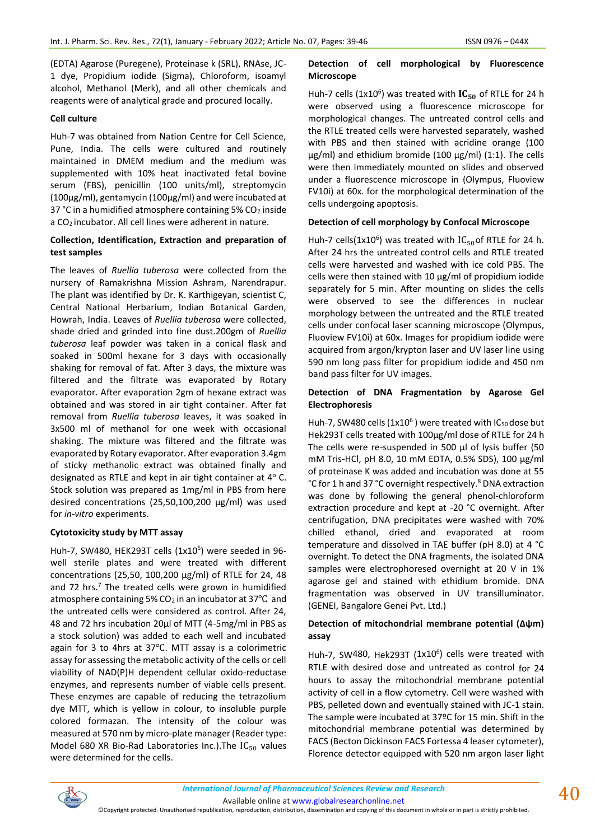(EDTA) Agarose (Puregene), Proteinase k (SRL), RNAse, JC-1 dye, Propidium iodide (Sigma), Chloroform, isoamyl alcohol, Methanol (Merk), and all other chemicals and reagents were of analytical grade and procured locally.

### **Cell culture**

Huh-7 was obtained from Nation Centre for Cell Science, Pune, India. The cells were cultured and routinely maintained in DMEM medium and the medium was supplemented with 10% heat inactivated fetal bovine serum (FBS), penicillin (100 units/ml), streptomycin (100μg/ml), gentamycin (100μg/ml) and were incubated at 37 °C in a humidified atmosphere containing  $5\%$  CO<sub>2</sub> inside a CO2 incubator. All cell lines were adherent in nature.

### **Collection, Identification, Extraction and preparation of test samples**

The leaves of *Ruellia tuberosa* were collected from the nursery of Ramakrishna Mission Ashram, Narendrapur. The plant was identified by Dr. K. Karthigeyan, scientist C, Central National Herbarium, Indian Botanical Garden, Howrah, India. Leaves of *Ruellia tuberosa* were collected, shade dried and grinded into fine dust.200gm of *Ruellia tuberosa* leaf powder was taken in a conical flask and soaked in 500ml hexane for 3 days with occasionally shaking for removal of fat. After 3 days, the mixture was filtered and the filtrate was evaporated by Rotary evaporator. After evaporation 2gm of hexane extract was obtained and was stored in air tight container. After fat removal from *Ruellia tuberosa* leaves, it was soaked in 3x500 ml of methanol for one week with occasional shaking. The mixture was filtered and the filtrate was evaporated by Rotary evaporator. After evaporation 3.4gm of sticky methanolic extract was obtained finally and designated as RTLE and kept in air tight container at 4° C. Stock solution was prepared as 1mg/ml in PBS from here desired concentrations (25,50,100,200 μg/ml) was used for *in-vitro* experiments.

### **Cytotoxicity study by MTT assay**

Huh-7, SW480, HEK293T cells (1x10<sup>5</sup>) were seeded in 96well sterile plates and were treated with different concentrations (25,50, 100,200 μg/ml) of RTLE for 24, 48 and 72 hrs.<sup>7</sup> The treated cells were grown in humidified atmosphere containing 5%  $CO<sub>2</sub>$  in an incubator at 37 $\rm ^{o}C$  and the untreated cells were considered as control. After 24, 48 and 72 hrs incubation 20µl of MTT (4-5mg/ml in PBS as a stock solution) was added to each well and incubated again for 3 to 4hrs at 37℃. MTT assay is a colorimetric assay for assessing the metabolic activity of the cells or cell viability of NAD(P)H dependent cellular oxido-reductase enzymes, and represents number of viable cells present. These enzymes are capable of reducing the tetrazolium dye MTT, which is yellow in colour, to insoluble purple colored formazan. The intensity of the colour was measured at 570 nm by micro-plate manager (Reader type: Model 680 XR Bio-Rad Laboratories Inc.). The  $IC_{50}$  values were determined for the cells.

## **Detection of cell morphological by Fluorescence Microscope**

Huh-7 cells (1x10<sup>6</sup>) was treated with  $IC_{50}$  of RTLE for 24 h were observed using a fluorescence microscope for morphological changes. The untreated control cells and the RTLE treated cells were harvested separately, washed with PBS and then stained with acridine orange (100 μg/ml) and ethidium bromide (100 μg/ml) (1:1). The cells were then immediately mounted on slides and observed under a fluorescence microscope in (Olympus, Fluoview FV10i) at 60x. for the morphological determination of the cells undergoing apoptosis.

### **Detection of cell morphology by Confocal Microscope**

Huh-7 cells( $1x10^6$ ) was treated with  $IC_{50}$ of RTLE for 24 h. After 24 hrs the untreated control cells and RTLE treated cells were harvested and washed with ice cold PBS. The cells were then stained with 10 μg/ml of propidium iodide separately for 5 min. After mounting on slides the cells were observed to see the differences in nuclear morphology between the untreated and the RTLE treated cells under confocal laser scanning microscope (Olympus, Fluoview FV10i) at 60x. Images for propidium iodide were acquired from argon/krypton laser and UV laser line using 590 nm long pass filter for propidium iodide and 450 nm band pass filter for UV images.

### **Detection of DNA Fragmentation by Agarose Gel Electrophoresis**

Huh-7, SW480 cells (1x10<sup>6</sup>) were treated with IC<sub>50</sub> dose but Hek293T cells treated with 100μg/ml dose of RTLE for 24 h The cells were re-suspended in 500 μl of lysis buffer (50 mM Tris-HCl, pH 8.0, 10 mM EDTA, 0.5% SDS), 100 μg/ml of proteinase K was added and incubation was done at 55 °C for 1 h and 37 °C overnight respectively.<sup>8</sup> DNA extraction was done by following the general phenol-chloroform extraction procedure and kept at -20 °C overnight. After centrifugation, DNA precipitates were washed with 70% chilled ethanol, dried and evaporated at room temperature and dissolved in TAE buffer (pH 8.0) at 4 °C overnight. To detect the DNA fragments, the isolated DNA samples were electrophoresed overnight at 20 V in 1% agarose gel and stained with ethidium bromide. DNA fragmentation was observed in UV transilluminator. (GENEI, Bangalore Genei Pvt. Ltd.)

### **Detection of mitochondrial membrane potential (∆ψm) assay**

Huh-7, SW480, Hek293T (1x10<sup>6</sup>) cells were treated with RTLE with desired dose and untreated as control for 24 hours to assay the mitochondrial membrane potential activity of cell in a flow cytometry. Cell were washed with PBS, pelleted down and eventually stained with JC-1 stain. The sample were incubated at 37ºC for 15 min. Shift in the mitochondrial membrane potential was determined by FACS (Becton Dickinson FACS Fortessa 4 leaser cytometer), Florence detector equipped with 520 nm argon laser light



Available online a[t www.globalresearchonline.net](http://www.globalresearchonline.net/)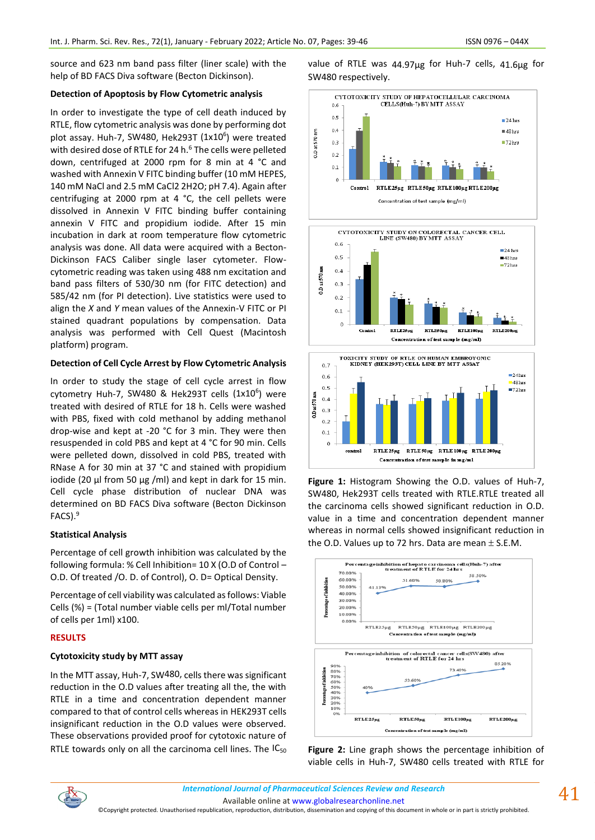source and 623 nm band pass filter (liner scale) with the help of BD FACS Diva software (Becton Dickinson).

## **Detection of Apoptosis by Flow Cytometric analysis**

In order to investigate the type of cell death induced by RTLE, flow cytometric analysis was done by performing dot plot assay. Huh-7, SW480, Hek293T (1x10<sup>6</sup>) were treated with desired dose of RTLE for 24 h.<sup>6</sup> The cells were pelleted down, centrifuged at 2000 rpm for 8 min at 4 °C and washed with Annexin V FITC binding buffer (10 mM HEPES, 140 mM NaCl and 2.5 mM CaCl2 2H2O; pH 7.4). Again after centrifuging at 2000 rpm at 4 °C, the cell pellets were dissolved in Annexin V FITC binding buffer containing annexin V FITC and propidium iodide. After 15 min incubation in dark at room temperature flow cytometric analysis was done. All data were acquired with a Becton-Dickinson FACS Caliber single laser cytometer. Flowcytometric reading was taken using 488 nm excitation and band pass filters of 530/30 nm (for FITC detection) and 585/42 nm (for PI detection). Live statistics were used to align the *X* and *Y* mean values of the Annexin-V FITC or PI stained quadrant populations by compensation. Data analysis was performed with Cell Quest (Macintosh platform) program.

## **Detection of Cell Cycle Arrest by Flow Cytometric Analysis**

In order to study the stage of cell cycle arrest in flow cytometry Huh-7, SW480 & Hek293T cells  $(1x10^6)$  were treated with desired of RTLE for 18 h. Cells were washed with PBS, fixed with cold methanol by adding methanol drop-wise and kept at -20 °C for 3 min. They were then resuspended in cold PBS and kept at 4 °C for 90 min. Cells were pelleted down, dissolved in cold PBS, treated with RNase A for 30 min at 37 °C and stained with propidium iodide (20 μl from 50 μg /ml) and kept in dark for 15 min. Cell cycle phase distribution of nuclear DNA was determined on BD FACS Diva software (Becton Dickinson FACS).<sup>9</sup>

# **Statistical Analysis**

Percentage of cell growth inhibition was calculated by the following formula: % Cell Inhibition= 10 X (O.D of Control – O.D. Of treated /O. D. of Control), O. D= Optical Density.

Percentage of cell viability was calculated as follows: Viable Cells (%) = (Total number viable cells per ml/Total number of cells per 1ml) x100.

# **RESULTS**

# **Cytotoxicity study by MTT assay**

In the MTT assay, Huh-7, SW480, cells there was significant reduction in the O.D values after treating all the, the with RTLE in a time and concentration dependent manner compared to that of control cells whereas in HEK293T cells insignificant reduction in the O.D values were observed. These observations provided proof for cytotoxic nature of RTLE towards only on all the carcinoma cell lines. The  $IC_{50}$  value of RTLE was 44.97µg for Huh-7 cells, 41.6µg for SW480 respectively.











**Figure 2:** Line graph shows the percentage inhibition of viable cells in Huh-7, SW480 cells treated with RTLE for



©Copyright protected. Unauthorised republication, reproduction, distribution, dissemination and copying of this document in whole or in part is strictly prohibited.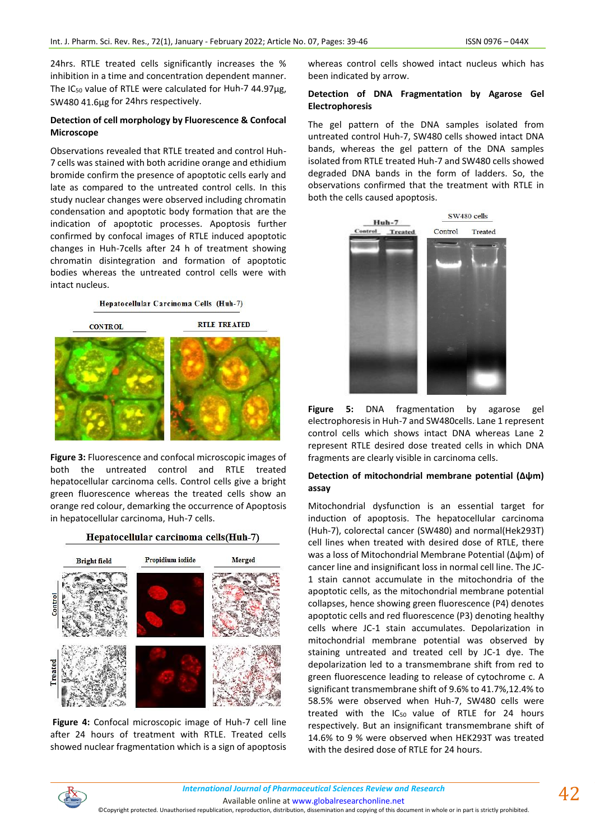24hrs. RTLE treated cells significantly increases the % inhibition in a time and concentration dependent manner. The IC<sub>50</sub> value of RTLE were calculated for Huh-7 44.97µg, SW480 41.6µg for 24hrs respectively.

## **Detection of cell morphology by Fluorescence & Confocal Microscope**

Observations revealed that RTLE treated and control Huh-7 cells was stained with both acridine orange and ethidium bromide confirm the presence of apoptotic cells early and late as compared to the untreated control cells. In this study nuclear changes were observed including chromatin condensation and apoptotic body formation that are the indication of apoptotic processes. Apoptosis further confirmed by confocal images of RTLE induced apoptotic changes in Huh-7cells after 24 h of treatment showing chromatin disintegration and formation of apoptotic bodies whereas the untreated control cells were with intact nucleus.

Hepatocellular Carcinoma Cells (Huh-7)



**Figure 3:** Fluorescence and confocal microscopic images of both the untreated control and RTLE treated hepatocellular carcinoma cells. Control cells give a bright green fluorescence whereas the treated cells show an orange red colour, demarking the occurrence of Apoptosis in hepatocellular carcinoma, Huh-7 cells.



**Figure 4:** Confocal microscopic image of Huh-7 cell line after 24 hours of treatment with RTLE. Treated cells showed nuclear fragmentation which is a sign of apoptosis whereas control cells showed intact nucleus which has been indicated by arrow.

## **Detection of DNA Fragmentation by Agarose Gel Electrophoresis**

The gel pattern of the DNA samples isolated from untreated control Huh-7, SW480 cells showed intact DNA bands, whereas the gel pattern of the DNA samples isolated from RTLE treated Huh-7 and SW480 cells showed degraded DNA bands in the form of ladders. So, the observations confirmed that the treatment with RTLE in both the cells caused apoptosis.



**Figure 5:** DNA fragmentation by agarose gel electrophoresis in Huh-7 and SW480cells. Lane 1 represent control cells which shows intact DNA whereas Lane 2 represent RTLE desired dose treated cells in which DNA fragments are clearly visible in carcinoma cells.

### **Detection of mitochondrial membrane potential (∆ψm) assay**

Mitochondrial dysfunction is an essential target for induction of apoptosis. The hepatocellular carcinoma (Huh-7), colorectal cancer (SW480) and normal(Hek293T) cell lines when treated with desired dose of RTLE, there was a loss of Mitochondrial Membrane Potential (Δψm) of cancer line and insignificant loss in normal cell line. The JC-1 stain cannot accumulate in the mitochondria of the apoptotic cells, as the mitochondrial membrane potential collapses, hence showing green fluorescence (P4) denotes apoptotic cells and red fluorescence (P3) denoting healthy cells where JC-1 stain accumulates. Depolarization in mitochondrial membrane potential was observed by staining untreated and treated cell by JC-1 dye. The depolarization led to a transmembrane shift from red to green fluorescence leading to release of cytochrome c. A significant transmembrane shift of 9.6% to 41.7%,12.4% to 58.5% were observed when Huh-7, SW480 cells were treated with the  $IC_{50}$  value of RTLE for 24 hours respectively. But an insignificant transmembrane shift of 14.6% to 9 % were observed when HEK293T was treated with the desired dose of RTLE for 24 hours.



©Copyright protected. Unauthorised republication, reproduction, distribution, dissemination and copying of this document in whole or in part is strictly prohibited.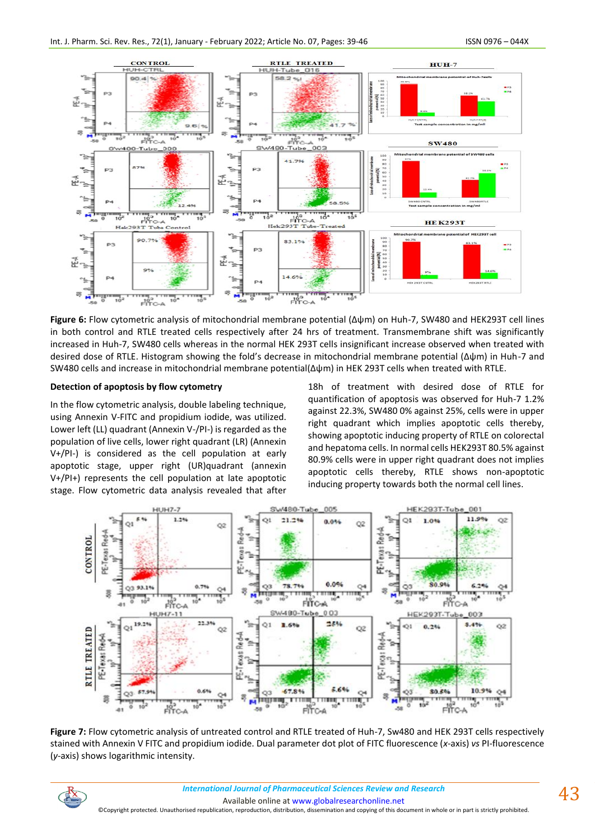

**Figure 6:** Flow cytometric analysis of mitochondrial membrane potential (∆ψm) on Huh-7, SW480 and HEK293T cell lines in both control and RTLE treated cells respectively after 24 hrs of treatment. Transmembrane shift was significantly increased in Huh-7, SW480 cells whereas in the normal HEK 293T cells insignificant increase observed when treated with desired dose of RTLE. Histogram showing the fold's decrease in mitochondrial membrane potential (∆ψm) in Huh-7 and SW480 cells and increase in mitochondrial membrane potential(∆ψm) in HEK 293T cells when treated with RTLE.

## **Detection of apoptosis by flow cytometry**

In the flow cytometric analysis, double labeling technique, using Annexin V-FITC and propidium iodide, was utilized. Lower left (LL) quadrant (Annexin V-/PI-) is regarded as the population of live cells, lower right quadrant (LR) (Annexin V+/PI-) is considered as the cell population at early apoptotic stage, upper right (UR)quadrant (annexin V+/PI+) represents the cell population at late apoptotic stage. Flow cytometric data analysis revealed that after

18h of treatment with desired dose of RTLE for quantification of apoptosis was observed for Huh-7 1.2% against 22.3%, SW480 0% against 25%, cells were in upper right quadrant which implies apoptotic cells thereby, showing apoptotic inducing property of RTLE on colorectal and hepatoma cells. In normal cells HEK293T 80.5% against 80.9% cells were in upper right quadrant does not implies apoptotic cells thereby, RTLE shows non-apoptotic inducing property towards both the normal cell lines.



**Figure 7:** Flow cytometric analysis of untreated control and RTLE treated of Huh-7, Sw480 and HEK 293T cells respectively stained with Annexin V FITC and propidium iodide. Dual parameter dot plot of FITC fluorescence (*x*-axis) *vs* PI-fluorescence (*y*-axis) shows logarithmic intensity.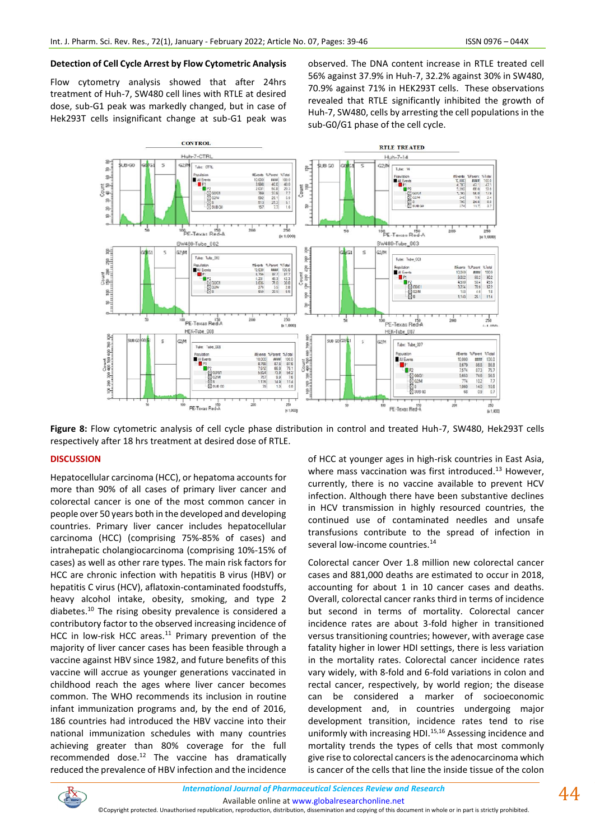### **Detection of Cell Cycle Arrest by Flow Cytometric Analysis**

Flow cytometry analysis showed that after 24hrs treatment of Huh-7, SW480 cell lines with RTLE at desired dose, sub-G1 peak was markedly changed, but in case of Hek293T cells insignificant change at sub-G1 peak was observed. The DNA content increase in RTLE treated cell 56% against 37.9% in Huh-7, 32.2% against 30% in SW480, 70.9% against 71% in HEK293T cells. These observations revealed that RTLE significantly inhibited the growth of Huh-7, SW480, cells by arresting the cell populations in the sub-G0/G1 phase of the cell cycle.



**Figure 8:** Flow cytometric analysis of cell cycle phase distribution in control and treated Huh-7, SW480, Hek293T cells respectively after 18 hrs treatment at desired dose of RTLE.

### **DISCUSSION**

Hepatocellular carcinoma (HCC), or hepatoma accounts for more than 90% of all cases of primary liver cancer and colorectal cancer is one of the most common cancer in people over 50 years both in the developed and developing countries. Primary liver cancer includes hepatocellular carcinoma (HCC) (comprising 75%-85% of cases) and intrahepatic cholangiocarcinoma (comprising 10%-15% of cases) as well as other rare types. The main risk factors for HCC are chronic infection with hepatitis B virus (HBV) or hepatitis C virus (HCV), aflatoxin-contaminated foodstuffs, heavy alcohol intake, obesity, smoking, and type 2 diabetes.<sup>10</sup> The rising obesity prevalence is considered a contributory factor to the observed increasing incidence of HCC in low-risk HCC areas. $11$  Primary prevention of the majority of liver cancer cases has been feasible through a vaccine against HBV since 1982, and future benefits of this vaccine will accrue as younger generations vaccinated in childhood reach the ages where liver cancer becomes common. The WHO recommends its inclusion in routine infant immunization programs and, by the end of 2016, 186 countries had introduced the HBV vaccine into their national immunization schedules with many countries achieving greater than 80% coverage for the full recommended dose. $12$  The vaccine has dramatically reduced the prevalence of HBV infection and the incidence

of HCC at younger ages in high-risk countries in East Asia, where mass vaccination was first introduced. $^{13}$  However, currently, there is no vaccine available to prevent HCV infection. Although there have been substantive declines in HCV transmission in highly resourced countries, the continued use of contaminated needles and unsafe transfusions contribute to the spread of infection in several low-income countries.<sup>14</sup>

Colorectal cancer Over 1.8 million new colorectal cancer cases and 881,000 deaths are estimated to occur in 2018, accounting for about 1 in 10 cancer cases and deaths. Overall, colorectal cancer ranks third in terms of incidence but second in terms of mortality. Colorectal cancer incidence rates are about 3-fold higher in transitioned versus transitioning countries; however, with average case fatality higher in lower HDI settings, there is less variation in the mortality rates. Colorectal cancer incidence rates vary widely, with 8-fold and 6-fold variations in colon and rectal cancer, respectively, by world region; the disease can be considered a marker of socioeconomic development and, in countries undergoing major development transition, incidence rates tend to rise uniformly with increasing HDI.<sup>15,16</sup> Assessing incidence and mortality trends the types of cells that most commonly give rise to colorectal cancers is the adenocarcinoma which is cancer of the cells that line the inside tissue of the colon

<sup>©</sup>Copyright protected. Unauthorised republication, reproduction, distribution, dissemination and copying of this document in whole or in part is strictly prohibited.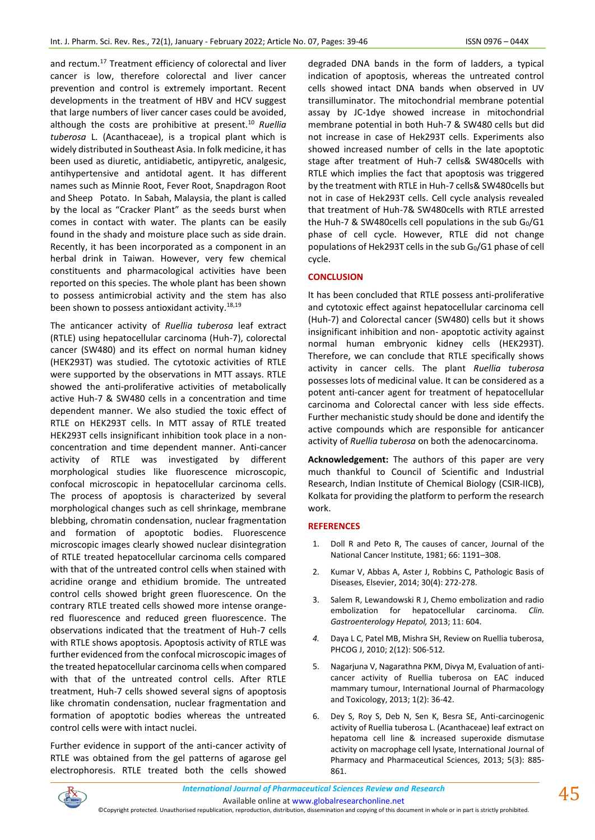and rectum.<sup>17</sup> Treatment efficiency of colorectal and liver cancer is low, therefore colorectal and liver cancer prevention and control is extremely important. Recent developments in the treatment of HBV and HCV suggest that large numbers of liver cancer cases could be avoided, although the costs are prohibitive at present.<sup>10</sup> *Ruellia tuberosa* L. (Acanthaceae), is a tropical plant which is widely distributed in Southeast Asia. In folk medicine, it has been used as diuretic, antidiabetic, antipyretic, analgesic, antihypertensive and antidotal agent. It has different names such as Minnie Root, Fever Root, Snapdragon Root and Sheep Potato. In Sabah, Malaysia, the plant is called by the local as "Cracker Plant" as the seeds burst when comes in contact with water. The plants can be easily found in the shady and moisture place such as side drain. Recently, it has been incorporated as a component in an herbal drink in Taiwan. However, very few chemical constituents and pharmacological activities have been reported on this species. The whole plant has been shown to possess antimicrobial activity and the stem has also been shown to possess antioxidant activity.<sup>18,19</sup>

The anticancer activity of *Ruellia tuberosa* leaf extract (RTLE) using hepatocellular carcinoma (Huh-7), colorectal cancer (SW480) and its effect on normal human kidney (HEK293T) was studied. The cytotoxic activities of RTLE were supported by the observations in MTT assays. RTLE showed the anti-proliferative activities of metabolically active Huh-7 & SW480 cells in a concentration and time dependent manner. We also studied the toxic effect of RTLE on HEK293T cells. In MTT assay of RTLE treated HEK293T cells insignificant inhibition took place in a nonconcentration and time dependent manner. Anti-cancer activity of RTLE was investigated by different morphological studies like fluorescence microscopic, confocal microscopic in hepatocellular carcinoma cells. The process of apoptosis is characterized by several morphological changes such as cell shrinkage, membrane blebbing, chromatin condensation, nuclear fragmentation and formation of apoptotic bodies. Fluorescence microscopic images clearly showed nuclear disintegration of RTLE treated hepatocellular carcinoma cells compared with that of the untreated control cells when stained with acridine orange and ethidium bromide. The untreated control cells showed bright green fluorescence. On the contrary RTLE treated cells showed more intense orangered fluorescence and reduced green fluorescence. The observations indicated that the treatment of Huh-7 cells with RTLE shows apoptosis. Apoptosis activity of RTLE was further evidenced from the confocal microscopic images of the treated hepatocellular carcinoma cells when compared with that of the untreated control cells. After RTLE treatment, Huh-7 cells showed several signs of apoptosis like chromatin condensation, nuclear fragmentation and formation of apoptotic bodies whereas the untreated control cells were with intact nuclei.

Further evidence in support of the anti-cancer activity of RTLE was obtained from the gel patterns of agarose gel electrophoresis. RTLE treated both the cells showed

degraded DNA bands in the form of ladders, a typical indication of apoptosis, whereas the untreated control cells showed intact DNA bands when observed in UV transilluminator. The mitochondrial membrane potential assay by JC-1dye showed increase in mitochondrial membrane potential in both Huh-7 & SW480 cells but did not increase in case of Hek293T cells. Experiments also showed increased number of cells in the late apoptotic stage after treatment of Huh-7 cells& SW480cells with RTLE which implies the fact that apoptosis was triggered by the treatment with RTLE in Huh-7 cells& SW480cells but not in case of Hek293T cells. Cell cycle analysis revealed that treatment of Huh-7& SW480cells with RTLE arrested the Huh-7 & SW480cells cell populations in the sub  $G_0/G1$ phase of cell cycle. However, RTLE did not change populations of Hek293T cells in the sub  $G_0/G1$  phase of cell cycle.

### **CONCLUSION**

It has been concluded that RTLE possess anti-proliferative and cytotoxic effect against hepatocellular carcinoma cell (Huh-7) and Colorectal cancer (SW480) cells but it shows insignificant inhibition and non- apoptotic activity against normal human embryonic kidney cells (HEK293T). Therefore, we can conclude that RTLE specifically shows activity in cancer cells. The plant *Ruellia tuberosa* possesses lots of medicinal value. It can be considered as a potent anti-cancer agent for treatment of hepatocellular carcinoma and Colorectal cancer with less side effects. Further mechanistic study should be done and identify the active compounds which are responsible for anticancer activity of *Ruellia tuberosa* on both the adenocarcinoma.

**Acknowledgement:** The authors of this paper are very much thankful to Council of Scientific and Industrial Research, Indian Institute of Chemical Biology (CSIR-IICB), Kolkata for providing the platform to perform the research work.

#### **REFERENCES**

- 1. Doll R and Peto R, The causes of cancer, Journal of the National Cancer Institute, 1981; 66: 1191–308.
- 2. Kumar V, Abbas A, Aster J, Robbins C, Pathologic Basis of Diseases, Elsevier, 2014; 30(4): 272-278.
- 3. Salem R, Lewandowski R J, Chemo embolization and radio embolization for hepatocellular carcinoma. *Clin. Gastroenterology Hepatol,* 2013; 11: 604.
- *4.* Daya L C, Patel MB, Mishra SH, Review on Ruellia tuberosa, PHCOG J, 2010; 2(12): 506-512*.*
- 5. Nagarjuna V, Nagarathna PKM, Divya M, Evaluation of anticancer activity of Ruellia tuberosa on EAC induced mammary tumour, International Journal of Pharmacology and Toxicology, 2013; 1(2): 36-42.
- 6. Dey S, Roy S, Deb N, Sen K, Besra SE, Anti-carcinogenic activity of Ruellia tuberosa L. (Acanthaceae) leaf extract on hepatoma cell line & increased superoxide dismutase activity on macrophage cell lysate, International Journal of Pharmacy and Pharmaceutical Sciences, 2013; 5(3): 885- 861.



©Copyright protected. Unauthorised republication, reproduction, distribution, dissemination and copying of this document in whole or in part is strictly prohibited.